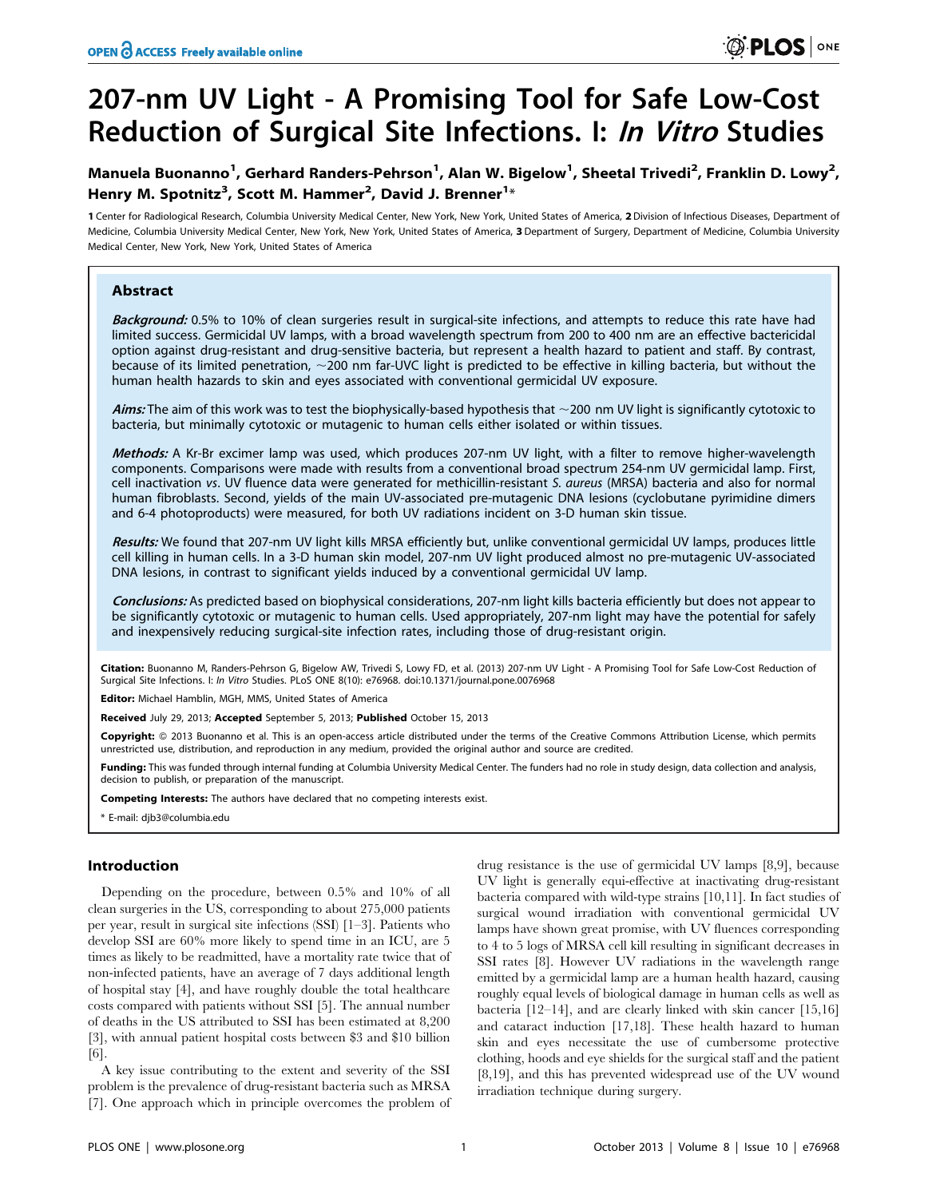# 207-nm UV Light - A Promising Tool for Safe Low-Cost Reduction of Surgical Site Infections. I: In Vitro Studies

# Manuela Buonanno<sup>1</sup>, Gerhard Randers-Pehrson<sup>1</sup>, Alan W. Bigelow<sup>1</sup>, Sheetal Trivedi<sup>2</sup>, Franklin D. Lowy<sup>2</sup>, Henry M. Spotnitz<sup>3</sup>, Scott M. Hammer<sup>2</sup>, David J. Brenner<sup>1</sup>\*

1 Center for Radiological Research, Columbia University Medical Center, New York, New York, United States of America, 2Division of Infectious Diseases, Department of Medicine, Columbia University Medical Center, New York, New York, United States of America, 3 Department of Surgery, Department of Medicine, Columbia University Medical Center, New York, New York, United States of America

# Abstract

Background: 0.5% to 10% of clean surgeries result in surgical-site infections, and attempts to reduce this rate have had limited success. Germicidal UV lamps, with a broad wavelength spectrum from 200 to 400 nm are an effective bactericidal option against drug-resistant and drug-sensitive bacteria, but represent a health hazard to patient and staff. By contrast, because of its limited penetration,  $\sim$ 200 nm far-UVC light is predicted to be effective in killing bacteria, but without the human health hazards to skin and eyes associated with conventional germicidal UV exposure.

Aims: The aim of this work was to test the biophysically-based hypothesis that  $\sim$ 200 nm UV light is significantly cytotoxic to bacteria, but minimally cytotoxic or mutagenic to human cells either isolated or within tissues.

Methods: A Kr-Br excimer lamp was used, which produces 207-nm UV light, with a filter to remove higher-wavelength components. Comparisons were made with results from a conventional broad spectrum 254-nm UV germicidal lamp. First, cell inactivation vs. UV fluence data were generated for methicillin-resistant S. aureus (MRSA) bacteria and also for normal human fibroblasts. Second, yields of the main UV-associated pre-mutagenic DNA lesions (cyclobutane pyrimidine dimers and 6-4 photoproducts) were measured, for both UV radiations incident on 3-D human skin tissue.

Results: We found that 207-nm UV light kills MRSA efficiently but, unlike conventional germicidal UV lamps, produces little cell killing in human cells. In a 3-D human skin model, 207-nm UV light produced almost no pre-mutagenic UV-associated DNA lesions, in contrast to significant yields induced by a conventional germicidal UV lamp.

Conclusions: As predicted based on biophysical considerations, 207-nm light kills bacteria efficiently but does not appear to be significantly cytotoxic or mutagenic to human cells. Used appropriately, 207-nm light may have the potential for safely and inexpensively reducing surgical-site infection rates, including those of drug-resistant origin.

Citation: Buonanno M, Randers-Pehrson G, Bigelow AW, Trivedi S, Lowy FD, et al. (2013) 207-nm UV Light - A Promising Tool for Safe Low-Cost Reduction of Surgical Site Infections. I: In Vitro Studies. PLoS ONE 8(10): e76968. doi:10.1371/journal.pone.0076968

Editor: Michael Hamblin, MGH, MMS, United States of America

Received July 29, 2013; Accepted September 5, 2013; Published October 15, 2013

**Copyright:** © 2013 Buonanno et al. This is an open-access article distributed under the terms of the Creative Commons Attribution License, which permits unrestricted use, distribution, and reproduction in any medium, provided the original author and source are credited.

Funding: This was funded through internal funding at Columbia University Medical Center. The funders had no role in study design, data collection and analysis, decision to publish, or preparation of the manuscript.

Competing Interests: The authors have declared that no competing interests exist.

## Introduction

Depending on the procedure, between 0.5% and 10% of all clean surgeries in the US, corresponding to about 275,000 patients per year, result in surgical site infections (SSI) [1–3]. Patients who develop SSI are 60% more likely to spend time in an ICU, are 5 times as likely to be readmitted, have a mortality rate twice that of non-infected patients, have an average of 7 days additional length of hospital stay [4], and have roughly double the total healthcare costs compared with patients without SSI [5]. The annual number of deaths in the US attributed to SSI has been estimated at 8,200 [3], with annual patient hospital costs between \$3 and \$10 billion [6].

A key issue contributing to the extent and severity of the SSI problem is the prevalence of drug-resistant bacteria such as MRSA [7]. One approach which in principle overcomes the problem of drug resistance is the use of germicidal UV lamps [8,9], because UV light is generally equi-effective at inactivating drug-resistant bacteria compared with wild-type strains [10,11]. In fact studies of surgical wound irradiation with conventional germicidal UV lamps have shown great promise, with UV fluences corresponding to 4 to 5 logs of MRSA cell kill resulting in significant decreases in SSI rates [8]. However UV radiations in the wavelength range emitted by a germicidal lamp are a human health hazard, causing roughly equal levels of biological damage in human cells as well as bacteria [12–14], and are clearly linked with skin cancer [15,16] and cataract induction [17,18]. These health hazard to human skin and eyes necessitate the use of cumbersome protective clothing, hoods and eye shields for the surgical staff and the patient [8,19], and this has prevented widespread use of the UV wound irradiation technique during surgery.

<sup>\*</sup> E-mail: djb3@columbia.edu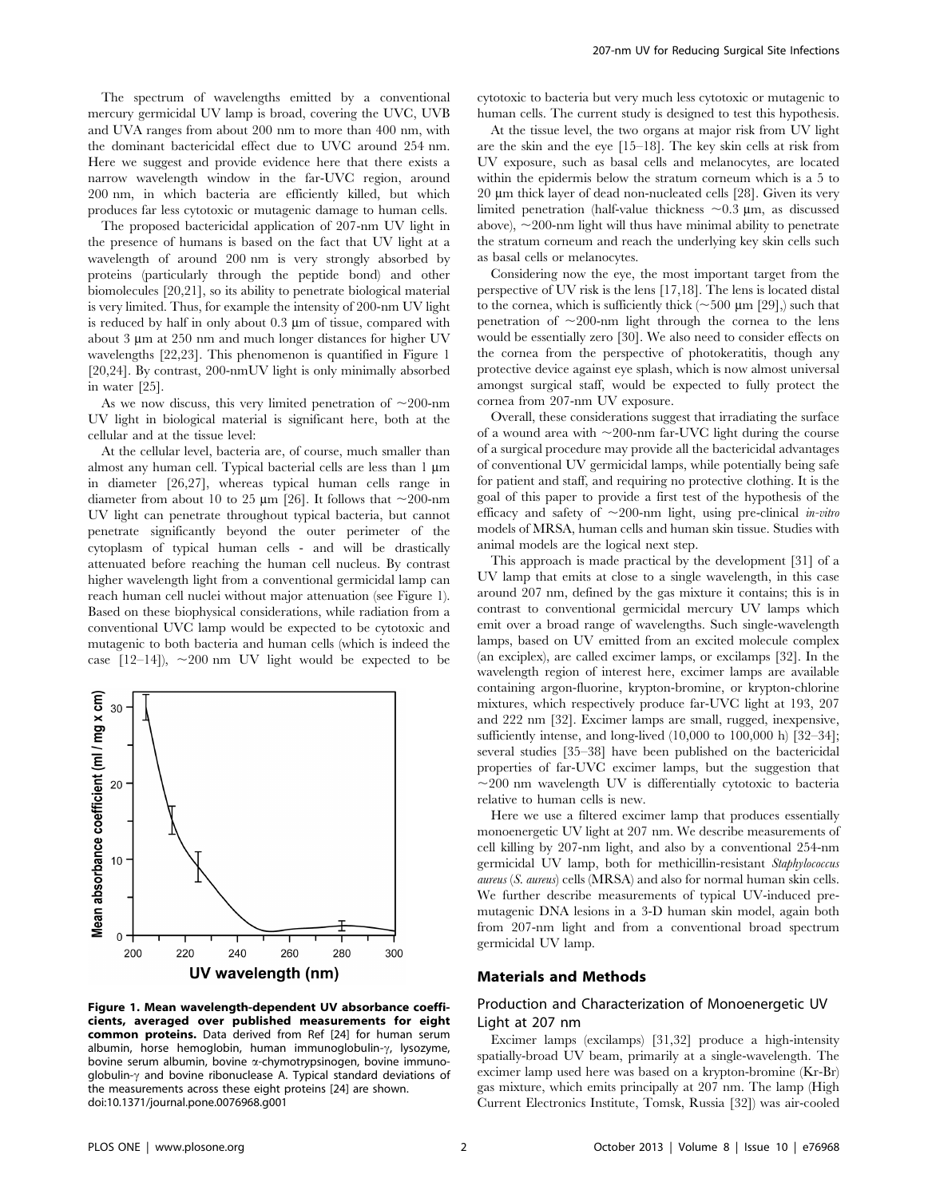The spectrum of wavelengths emitted by a conventional mercury germicidal UV lamp is broad, covering the UVC, UVB and UVA ranges from about 200 nm to more than 400 nm, with the dominant bactericidal effect due to UVC around 254 nm. Here we suggest and provide evidence here that there exists a narrow wavelength window in the far-UVC region, around 200 nm, in which bacteria are efficiently killed, but which produces far less cytotoxic or mutagenic damage to human cells.

The proposed bactericidal application of 207-nm UV light in the presence of humans is based on the fact that UV light at a wavelength of around 200 nm is very strongly absorbed by proteins (particularly through the peptide bond) and other biomolecules [20,21], so its ability to penetrate biological material is very limited. Thus, for example the intensity of 200-nm UV light is reduced by half in only about  $0.3 \mu m$  of tissue, compared with about  $3 \mu m$  at  $250 \mu m$  and much longer distances for higher UV wavelengths [22,23]. This phenomenon is quantified in Figure 1 [20,24]. By contrast, 200-nmUV light is only minimally absorbed in water [25].

As we now discuss, this very limited penetration of  $\sim$ 200-nm UV light in biological material is significant here, both at the cellular and at the tissue level:

At the cellular level, bacteria are, of course, much smaller than almost any human cell. Typical bacterial cells are less than 1 um in diameter [26,27], whereas typical human cells range in diameter from about 10 to 25  $\mu$ m [26]. It follows that  $\sim$ 200-nm UV light can penetrate throughout typical bacteria, but cannot penetrate significantly beyond the outer perimeter of the cytoplasm of typical human cells - and will be drastically attenuated before reaching the human cell nucleus. By contrast higher wavelength light from a conventional germicidal lamp can reach human cell nuclei without major attenuation (see Figure 1). Based on these biophysical considerations, while radiation from a conventional UVC lamp would be expected to be cytotoxic and mutagenic to both bacteria and human cells (which is indeed the case  $[12-14]$ ,  $\sim 200$  nm UV light would be expected to be



Figure 1. Mean wavelength-dependent UV absorbance coefficients, averaged over published measurements for eight common proteins. Data derived from Ref [24] for human serum albumin, horse hemoglobin, human immunoglobulin- $\gamma$ , lysozyme, bovine serum albumin, bovine a-chymotrypsinogen, bovine immunoglobulin- $\gamma$  and bovine ribonuclease A. Typical standard deviations of the measurements across these eight proteins [24] are shown. doi:10.1371/journal.pone.0076968.g001

cytotoxic to bacteria but very much less cytotoxic or mutagenic to human cells. The current study is designed to test this hypothesis.

At the tissue level, the two organs at major risk from UV light are the skin and the eye [15–18]. The key skin cells at risk from UV exposure, such as basal cells and melanocytes, are located within the epidermis below the stratum corneum which is a 5 to 20 µm thick layer of dead non-nucleated cells [28]. Given its very limited penetration (half-value thickness  $\sim 0.3$  µm, as discussed above),  $\sim$ 200-nm light will thus have minimal ability to penetrate the stratum corneum and reach the underlying key skin cells such as basal cells or melanocytes.

Considering now the eye, the most important target from the perspective of UV risk is the lens [17,18]. The lens is located distal to the cornea, which is sufficiently thick ( $\sim$ 500 µm [29],) such that penetration of  $\sim$ 200-nm light through the cornea to the lens would be essentially zero [30]. We also need to consider effects on the cornea from the perspective of photokeratitis, though any protective device against eye splash, which is now almost universal amongst surgical staff, would be expected to fully protect the cornea from 207-nm UV exposure.

Overall, these considerations suggest that irradiating the surface of a wound area with  $\sim$ 200-nm far-UVC light during the course of a surgical procedure may provide all the bactericidal advantages of conventional UV germicidal lamps, while potentially being safe for patient and staff, and requiring no protective clothing. It is the goal of this paper to provide a first test of the hypothesis of the efficacy and safety of  $\sim$ 200-nm light, using pre-clinical in-vitro models of MRSA, human cells and human skin tissue. Studies with animal models are the logical next step.

This approach is made practical by the development [31] of a UV lamp that emits at close to a single wavelength, in this case around 207 nm, defined by the gas mixture it contains; this is in contrast to conventional germicidal mercury UV lamps which emit over a broad range of wavelengths. Such single-wavelength lamps, based on UV emitted from an excited molecule complex (an exciplex), are called excimer lamps, or excilamps [32]. In the wavelength region of interest here, excimer lamps are available containing argon-fluorine, krypton-bromine, or krypton-chlorine mixtures, which respectively produce far-UVC light at 193, 207 and 222 nm [32]. Excimer lamps are small, rugged, inexpensive, sufficiently intense, and long-lived (10,000 to 100,000 h) [32–34]; several studies [35–38] have been published on the bactericidal properties of far-UVC excimer lamps, but the suggestion that  $\sim$ 200 nm wavelength UV is differentially cytotoxic to bacteria relative to human cells is new.

Here we use a filtered excimer lamp that produces essentially monoenergetic UV light at 207 nm. We describe measurements of cell killing by 207-nm light, and also by a conventional 254-nm germicidal UV lamp, both for methicillin-resistant Staphylococcus aureus (S. aureus) cells (MRSA) and also for normal human skin cells. We further describe measurements of typical UV-induced premutagenic DNA lesions in a 3-D human skin model, again both from 207-nm light and from a conventional broad spectrum germicidal UV lamp.

#### Materials and Methods

#### Production and Characterization of Monoenergetic UV Light at 207 nm

Excimer lamps (excilamps) [31,32] produce a high-intensity spatially-broad UV beam, primarily at a single-wavelength. The excimer lamp used here was based on a krypton-bromine (Kr-Br) gas mixture, which emits principally at 207 nm. The lamp (High Current Electronics Institute, Tomsk, Russia [32]) was air-cooled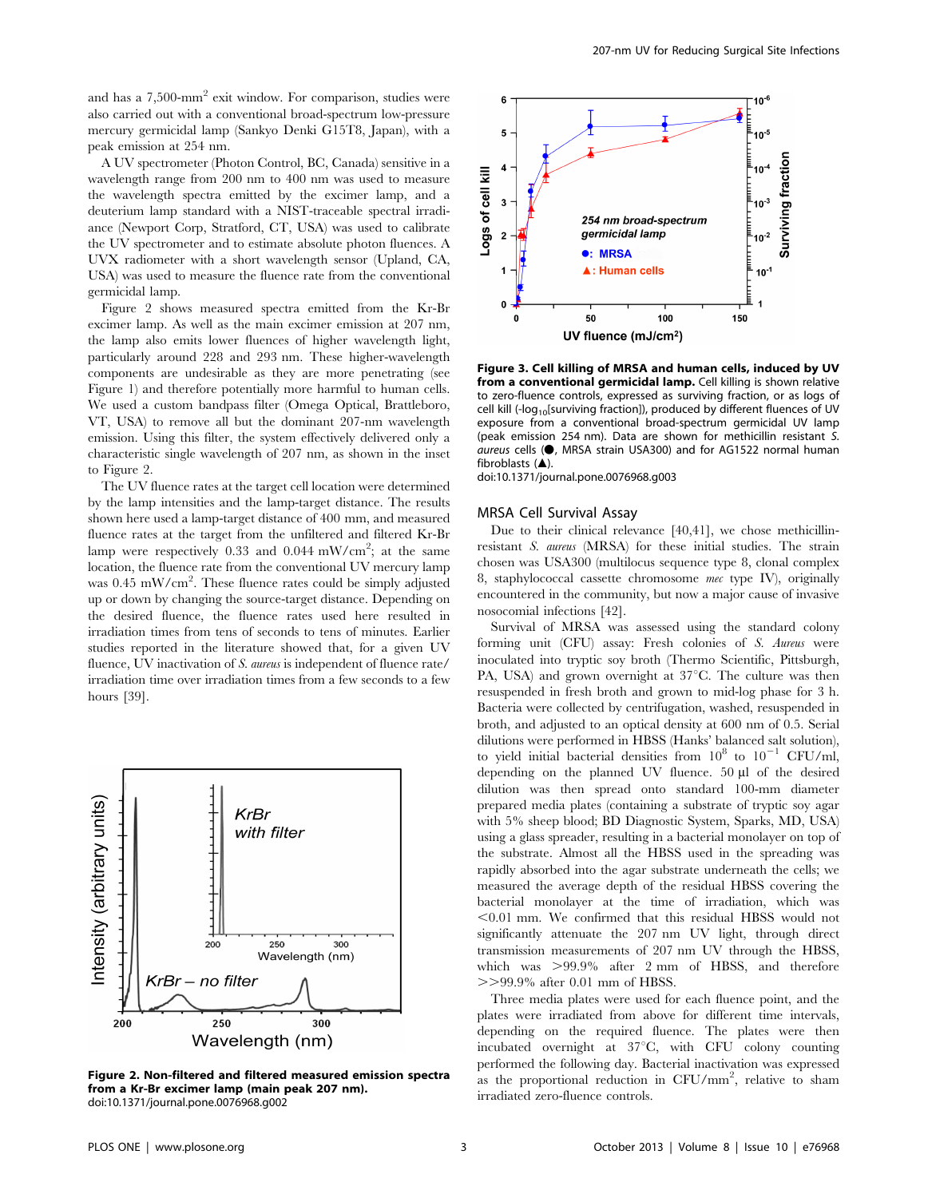and has a 7,500-mm<sup>2</sup> exit window. For comparison, studies were also carried out with a conventional broad-spectrum low-pressure mercury germicidal lamp (Sankyo Denki G15T8, Japan), with a peak emission at 254 nm.

A UV spectrometer (Photon Control, BC, Canada) sensitive in a wavelength range from 200 nm to 400 nm was used to measure the wavelength spectra emitted by the excimer lamp, and a deuterium lamp standard with a NIST-traceable spectral irradiance (Newport Corp, Stratford, CT, USA) was used to calibrate the UV spectrometer and to estimate absolute photon fluences. A UVX radiometer with a short wavelength sensor (Upland, CA, USA) was used to measure the fluence rate from the conventional germicidal lamp.

Figure 2 shows measured spectra emitted from the Kr-Br excimer lamp. As well as the main excimer emission at 207 nm, the lamp also emits lower fluences of higher wavelength light, particularly around 228 and 293 nm. These higher-wavelength components are undesirable as they are more penetrating (see Figure 1) and therefore potentially more harmful to human cells. We used a custom bandpass filter (Omega Optical, Brattleboro, VT, USA) to remove all but the dominant 207-nm wavelength emission. Using this filter, the system effectively delivered only a characteristic single wavelength of 207 nm, as shown in the inset to Figure 2.

The UV fluence rates at the target cell location were determined by the lamp intensities and the lamp-target distance. The results shown here used a lamp-target distance of 400 mm, and measured fluence rates at the target from the unfiltered and filtered Kr-Br lamp were respectively 0.33 and 0.044 mW/cm<sup>2</sup>; at the same location, the fluence rate from the conventional UV mercury lamp was 0.45 mW/cm<sup>2</sup>. These fluence rates could be simply adjusted up or down by changing the source-target distance. Depending on the desired fluence, the fluence rates used here resulted in irradiation times from tens of seconds to tens of minutes. Earlier studies reported in the literature showed that, for a given UV fluence, UV inactivation of S. *aureus* is independent of fluence rate/ irradiation time over irradiation times from a few seconds to a few hours [39].



Figure 2. Non-filtered and filtered measured emission spectra from a Kr-Br excimer lamp (main peak 207 nm). doi:10.1371/journal.pone.0076968.g002



Figure 3. Cell killing of MRSA and human cells, induced by UV from a conventional germicidal lamp. Cell killing is shown relative to zero-fluence controls, expressed as surviving fraction, or as logs of cell kill (-log<sub>10</sub>[surviving fraction]), produced by different fluences of UV exposure from a conventional broad-spectrum germicidal UV lamp (peak emission 254 nm). Data are shown for methicillin resistant S.  $a$ ureus cells ( $\bullet$ , MRSA strain USA300) and for AG1522 normal human fibroblasts  $(A)$ .

doi:10.1371/journal.pone.0076968.g003

#### MRSA Cell Survival Assay

Due to their clinical relevance [40,41], we chose methicillinresistant S. aureus (MRSA) for these initial studies. The strain chosen was USA300 (multilocus sequence type 8, clonal complex 8, staphylococcal cassette chromosome mec type IV), originally encountered in the community, but now a major cause of invasive nosocomial infections [42].

Survival of MRSA was assessed using the standard colony forming unit (CFU) assay: Fresh colonies of S. Aureus were inoculated into tryptic soy broth (Thermo Scientific, Pittsburgh, PA, USA) and grown overnight at  $37^{\circ}$ C. The culture was then resuspended in fresh broth and grown to mid-log phase for 3 h. Bacteria were collected by centrifugation, washed, resuspended in broth, and adjusted to an optical density at 600 nm of 0.5. Serial dilutions were performed in HBSS (Hanks' balanced salt solution), to yield initial bacterial densities from  $10^8$  to  $10^{-1}$  CFU/ml, depending on the planned UV fluence.  $50 \mu l$  of the desired dilution was then spread onto standard 100-mm diameter prepared media plates (containing a substrate of tryptic soy agar with 5% sheep blood; BD Diagnostic System, Sparks, MD, USA) using a glass spreader, resulting in a bacterial monolayer on top of the substrate. Almost all the HBSS used in the spreading was rapidly absorbed into the agar substrate underneath the cells; we measured the average depth of the residual HBSS covering the bacterial monolayer at the time of irradiation, which was  $< 0.01$  mm. We confirmed that this residual HBSS would not significantly attenuate the 207 nm UV light, through direct transmission measurements of 207 nm UV through the HBSS, which was  $>99.9\%$  after 2 mm of HBSS, and therefore  $>>99.9\%$  after 0.01 mm of HBSS.

Three media plates were used for each fluence point, and the plates were irradiated from above for different time intervals, depending on the required fluence. The plates were then incubated overnight at 37°C, with CFU colony counting performed the following day. Bacterial inactivation was expressed as the proportional reduction in CFU/mm<sup>2</sup>, relative to sham irradiated zero-fluence controls.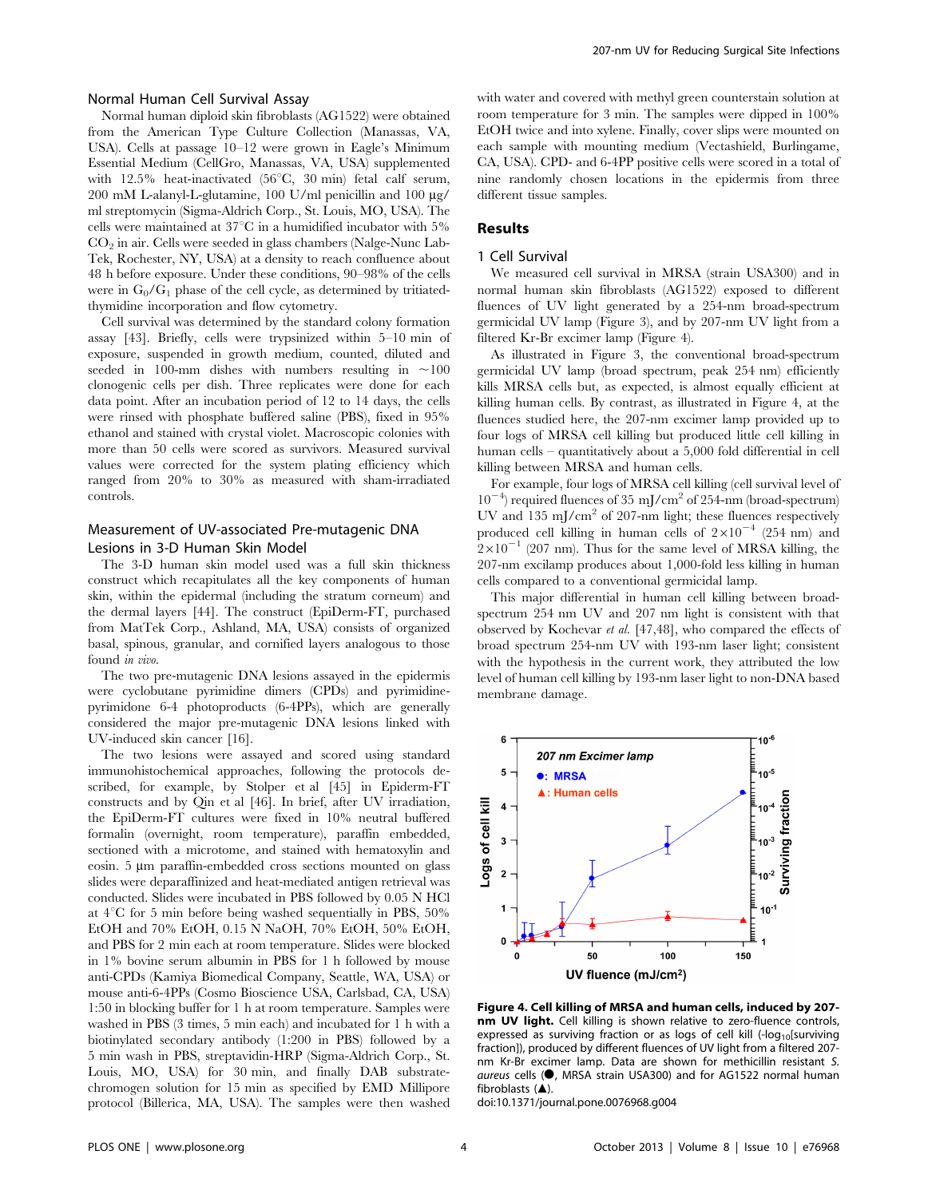#### Normal Human Cell Survival Assay

Normal human diploid skin fibroblasts (AG1522) were obtained from the American Type Culture Collection (Manassas, VA, USA). Cells at passage 10–12 were grown in Eagle's Minimum Essential Medium (CellGro, Manassas, VA, USA) supplemented with  $12.5\%$  heat-inactivated (56 $°C$ , 30 min) fetal calf serum, 200 mM L-alanyl-L-glutamine, 100 U/ml penicillin and 100  $\mu$ g/ ml streptomycin (Sigma-Aldrich Corp., St. Louis, MO, USA). The cells were maintained at  $37^{\circ}$ C in a humidified incubator with  $5\%$  $CO<sub>2</sub>$  in air. Cells were seeded in glass chambers (Nalge-Nunc Lab-Tek, Rochester, NY, USA) at a density to reach confluence about 48 h before exposure. Under these conditions, 90–98% of the cells were in  $G_0/G_1$  phase of the cell cycle, as determined by tritiatedthymidine incorporation and flow cytometry.

Cell survival was determined by the standard colony formation assay [43]. Briefly, cells were trypsinized within 5–10 min of exposure, suspended in growth medium, counted, diluted and seeded in 100-mm dishes with numbers resulting in  $\sim$ 100 clonogenic cells per dish. Three replicates were done for each data point. After an incubation period of 12 to 14 days, the cells were rinsed with phosphate buffered saline (PBS), fixed in 95% ethanol and stained with crystal violet. Macroscopic colonies with more than 50 cells were scored as survivors. Measured survival values were corrected for the system plating efficiency which ranged from 20% to 30% as measured with sham-irradiated controls.

#### Measurement of UV-associated Pre-mutagenic DNA Lesions in 3-D Human Skin Model

The 3-D human skin model used was a full skin thickness construct which recapitulates all the key components of human skin, within the epidermal (including the stratum corneum) and the dermal layers [44]. The construct (EpiDerm-FT, purchased from MatTek Corp., Ashland, MA, USA) consists of organized basal, spinous, granular, and cornified layers analogous to those found in vivo.

The two pre-mutagenic DNA lesions assayed in the epidermis were cyclobutane pyrimidine dimers (CPDs) and pyrimidinepyrimidone 6-4 photoproducts (6-4PPs), which are generally considered the major pre-mutagenic DNA lesions linked with UV-induced skin cancer [16].

The two lesions were assayed and scored using standard immunohistochemical approaches, following the protocols described, for example, by Stolper et al [45] in Epiderm-FT constructs and by Qin et al [46]. In brief, after UV irradiation, the EpiDerm-FT cultures were fixed in 10% neutral buffered formalin (overnight, room temperature), paraffin embedded, sectioned with a microtome, and stained with hematoxylin and eosin. 5 µm paraffin-embedded cross sections mounted on glass slides were deparaffinized and heat-mediated antigen retrieval was conducted. Slides were incubated in PBS followed by 0.05 N HCl at  $4^{\circ}$ C for 5 min before being washed sequentially in PBS, 50% EtOH and 70% EtOH, 0.15 N NaOH, 70% EtOH, 50% EtOH, and PBS for 2 min each at room temperature. Slides were blocked in 1% bovine serum albumin in PBS for 1 h followed by mouse anti-CPDs (Kamiya Biomedical Company, Seattle, WA, USA) or mouse anti-6-4PPs (Cosmo Bioscience USA, Carlsbad, CA, USA) 1:50 in blocking buffer for 1 h at room temperature. Samples were washed in PBS (3 times, 5 min each) and incubated for 1 h with a biotinylated secondary antibody (1:200 in PBS) followed by a 5 min wash in PBS, streptavidin-HRP (Sigma-Aldrich Corp., St. Louis, MO, USA) for 30 min, and finally DAB substratechromogen solution for 15 min as specified by EMD Millipore protocol (Billerica, MA, USA). The samples were then washed with water and covered with methyl green counterstain solution at room temperature for 3 min. The samples were dipped in 100% EtOH twice and into xylene. Finally, cover slips were mounted on each sample with mounting medium (Vectashield, Burlingame, CA, USA). CPD- and 6-4PP positive cells were scored in a total of nine randomly chosen locations in the epidermis from three different tissue samples.

#### Results

#### 1 Cell Survival

We measured cell survival in MRSA (strain USA300) and in normal human skin fibroblasts (AG1522) exposed to different fluences of UV light generated by a 254-nm broad-spectrum germicidal UV lamp (Figure 3), and by 207-nm UV light from a filtered Kr-Br excimer lamp (Figure 4).

As illustrated in Figure 3, the conventional broad-spectrum germicidal UV lamp (broad spectrum, peak 254 nm) efficiently kills MRSA cells but, as expected, is almost equally efficient at killing human cells. By contrast, as illustrated in Figure 4, at the fluences studied here, the 207-nm excimer lamp provided up to four logs of MRSA cell killing but produced little cell killing in human cells – quantitatively about a 5,000 fold differential in cell killing between MRSA and human cells.

For example, four logs of MRSA cell killing (cell survival level of 10<sup>-4</sup>) required fluences of 35 mJ/cm<sup>2</sup> of 254-nm (broad-spectrum) UV and  $135 \text{ mJ/cm}^2$  of 207-nm light; these fluences respectively produced cell killing in human cells of  $2\times10^{-4}$  (254 nm) and  $2\times10^{-1}$  (207 nm). Thus for the same level of MRSA killing, the 207-nm excilamp produces about 1,000-fold less killing in human cells compared to a conventional germicidal lamp.

This major differential in human cell killing between broadspectrum 254 nm UV and 207 nm light is consistent with that observed by Kochevar et al. [47,48], who compared the effects of broad spectrum 254-nm UV with 193-nm laser light; consistent with the hypothesis in the current work, they attributed the low level of human cell killing by 193-nm laser light to non-DNA based membrane damage.



Figure 4. Cell killing of MRSA and human cells, induced by 207 nm UV light. Cell killing is shown relative to zero-fluence controls, expressed as surviving fraction or as logs of cell kill  $(-\log_{10}[surviving$ fraction]), produced by different fluences of UV light from a filtered 207 nm Kr-Br excimer lamp. Data are shown for methicillin resistant S.  $a$ ureus cells ( $\bullet$ , MRSA strain USA300) and for AG1522 normal human fibroblasts  $(\triangle)$ .

doi:10.1371/journal.pone.0076968.g004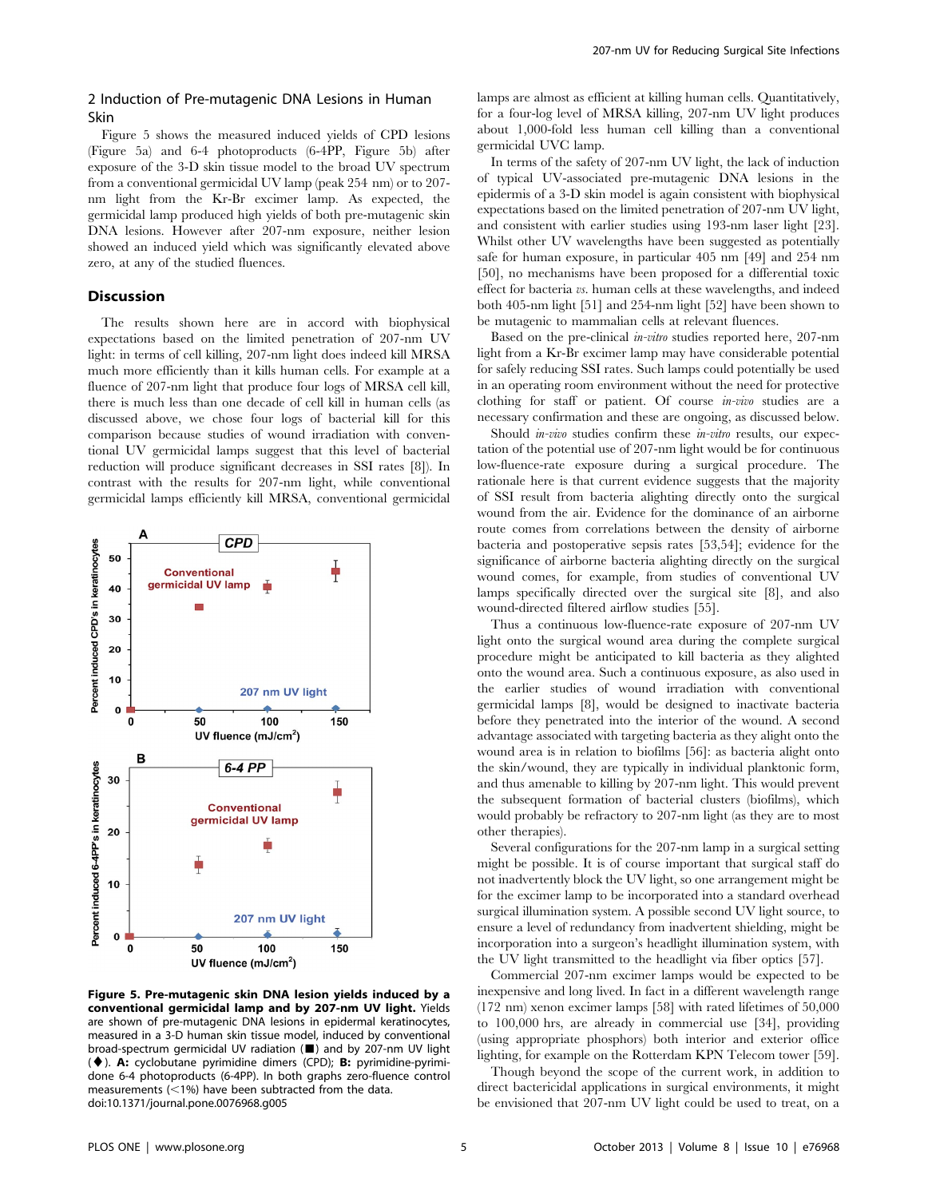### 2 Induction of Pre-mutagenic DNA Lesions in Human Skin

Figure 5 shows the measured induced yields of CPD lesions (Figure 5a) and 6-4 photoproducts (6-4PP, Figure 5b) after exposure of the 3-D skin tissue model to the broad UV spectrum from a conventional germicidal UV lamp (peak 254 nm) or to 207 nm light from the Kr-Br excimer lamp. As expected, the germicidal lamp produced high yields of both pre-mutagenic skin DNA lesions. However after 207-nm exposure, neither lesion showed an induced yield which was significantly elevated above zero, at any of the studied fluences.

# Discussion

The results shown here are in accord with biophysical expectations based on the limited penetration of 207-nm UV light: in terms of cell killing, 207-nm light does indeed kill MRSA much more efficiently than it kills human cells. For example at a fluence of 207-nm light that produce four logs of MRSA cell kill, there is much less than one decade of cell kill in human cells (as discussed above, we chose four logs of bacterial kill for this comparison because studies of wound irradiation with conventional UV germicidal lamps suggest that this level of bacterial reduction will produce significant decreases in SSI rates [8]). In contrast with the results for 207-nm light, while conventional germicidal lamps efficiently kill MRSA, conventional germicidal



Figure 5. Pre-mutagenic skin DNA lesion yields induced by a conventional germicidal lamp and by 207-nm UV light. Yields are shown of pre-mutagenic DNA lesions in epidermal keratinocytes, measured in a 3-D human skin tissue model, induced by conventional broad-spectrum germicidal UV radiation (&) and by 207-nm UV light  $(\blacklozenge)$ . A: cyclobutane pyrimidine dimers (CPD); B: pyrimidine-pyrimidone 6-4 photoproducts (6-4PP). In both graphs zero-fluence control measurements ( $<$ 1%) have been subtracted from the data. doi:10.1371/journal.pone.0076968.g005

lamps are almost as efficient at killing human cells. Quantitatively, for a four-log level of MRSA killing, 207-nm UV light produces about 1,000-fold less human cell killing than a conventional germicidal UVC lamp.

In terms of the safety of 207-nm UV light, the lack of induction of typical UV-associated pre-mutagenic DNA lesions in the epidermis of a 3-D skin model is again consistent with biophysical expectations based on the limited penetration of 207-nm UV light, and consistent with earlier studies using 193-nm laser light [23]. Whilst other UV wavelengths have been suggested as potentially safe for human exposure, in particular 405 nm [49] and 254 nm [50], no mechanisms have been proposed for a differential toxic effect for bacteria vs. human cells at these wavelengths, and indeed both 405-nm light [51] and 254-nm light [52] have been shown to be mutagenic to mammalian cells at relevant fluences.

Based on the pre-clinical in-vitro studies reported here, 207-nm light from a Kr-Br excimer lamp may have considerable potential for safely reducing SSI rates. Such lamps could potentially be used in an operating room environment without the need for protective clothing for staff or patient. Of course in-vivo studies are a necessary confirmation and these are ongoing, as discussed below.

Should *in-vivo* studies confirm these *in-vitro* results, our expectation of the potential use of 207-nm light would be for continuous low-fluence-rate exposure during a surgical procedure. The rationale here is that current evidence suggests that the majority of SSI result from bacteria alighting directly onto the surgical wound from the air. Evidence for the dominance of an airborne route comes from correlations between the density of airborne bacteria and postoperative sepsis rates [53,54]; evidence for the significance of airborne bacteria alighting directly on the surgical wound comes, for example, from studies of conventional UV lamps specifically directed over the surgical site [8], and also wound-directed filtered airflow studies [55].

Thus a continuous low-fluence-rate exposure of 207-nm UV light onto the surgical wound area during the complete surgical procedure might be anticipated to kill bacteria as they alighted onto the wound area. Such a continuous exposure, as also used in the earlier studies of wound irradiation with conventional germicidal lamps [8], would be designed to inactivate bacteria before they penetrated into the interior of the wound. A second advantage associated with targeting bacteria as they alight onto the wound area is in relation to biofilms [56]: as bacteria alight onto the skin/wound, they are typically in individual planktonic form, and thus amenable to killing by 207-nm light. This would prevent the subsequent formation of bacterial clusters (biofilms), which would probably be refractory to 207-nm light (as they are to most other therapies).

Several configurations for the 207-nm lamp in a surgical setting might be possible. It is of course important that surgical staff do not inadvertently block the UV light, so one arrangement might be for the excimer lamp to be incorporated into a standard overhead surgical illumination system. A possible second UV light source, to ensure a level of redundancy from inadvertent shielding, might be incorporation into a surgeon's headlight illumination system, with the UV light transmitted to the headlight via fiber optics [57].

Commercial 207-nm excimer lamps would be expected to be inexpensive and long lived. In fact in a different wavelength range (172 nm) xenon excimer lamps [58] with rated lifetimes of 50,000 to 100,000 hrs, are already in commercial use [34], providing (using appropriate phosphors) both interior and exterior office lighting, for example on the Rotterdam KPN Telecom tower [59].

Though beyond the scope of the current work, in addition to direct bactericidal applications in surgical environments, it might be envisioned that 207-nm UV light could be used to treat, on a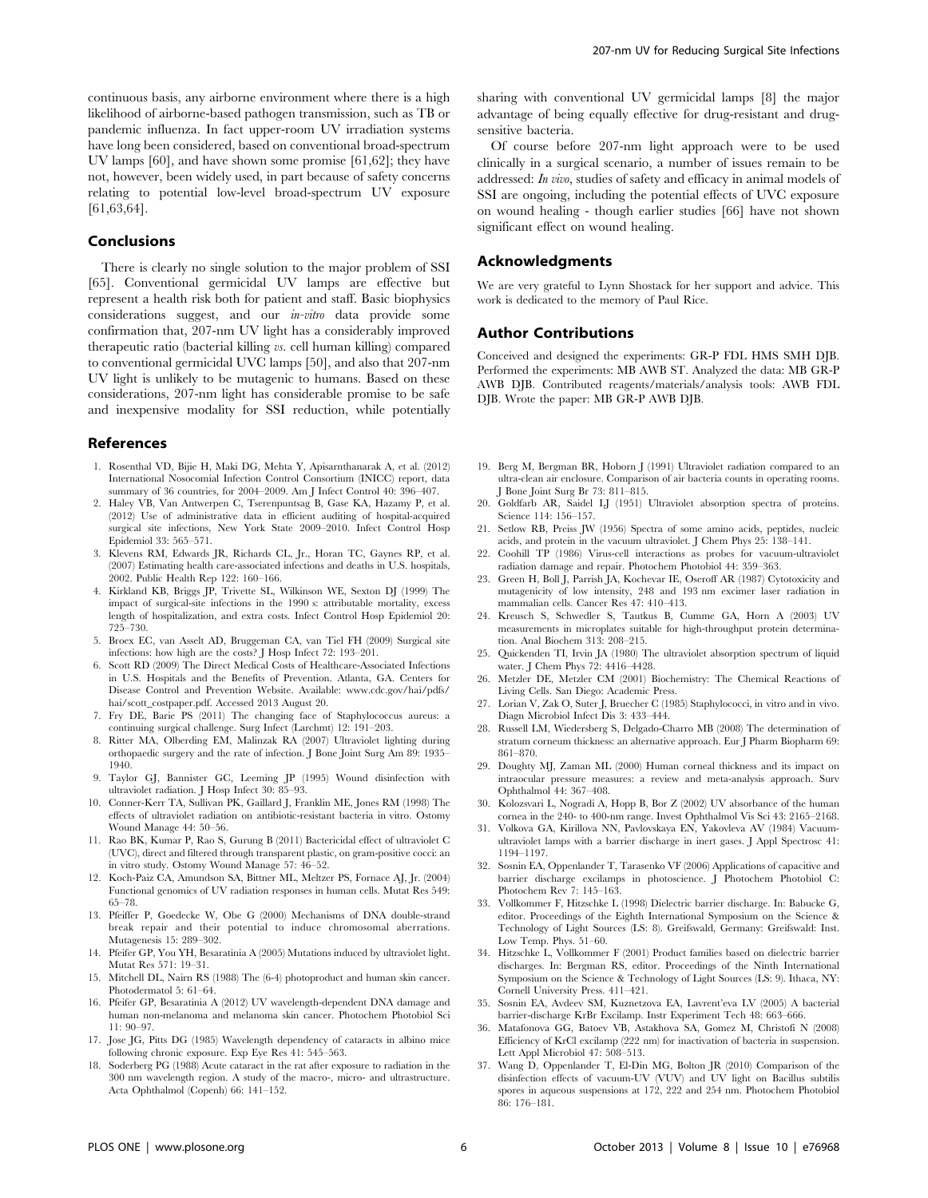continuous basis, any airborne environment where there is a high likelihood of airborne-based pathogen transmission, such as TB or pandemic influenza. In fact upper-room UV irradiation systems have long been considered, based on conventional broad-spectrum UV lamps [60], and have shown some promise [61,62]; they have not, however, been widely used, in part because of safety concerns relating to potential low-level broad-spectrum UV exposure [61,63,64].

#### Conclusions

There is clearly no single solution to the major problem of SSI [65]. Conventional germicidal UV lamps are effective but represent a health risk both for patient and staff. Basic biophysics considerations suggest, and our in-vitro data provide some confirmation that, 207-nm UV light has a considerably improved therapeutic ratio (bacterial killing vs. cell human killing) compared to conventional germicidal UVC lamps [50], and also that 207-nm UV light is unlikely to be mutagenic to humans. Based on these considerations, 207-nm light has considerable promise to be safe and inexpensive modality for SSI reduction, while potentially

#### References

- 1. Rosenthal VD, Bijie H, Maki DG, Mehta Y, Apisarnthanarak A, et al. (2012) International Nosocomial Infection Control Consortium (INICC) report, data summary of 36 countries, for 2004–2009. Am J Infect Control 40: 396–407.
- 2. Haley VB, Van Antwerpen C, Tserenpuntsag B, Gase KA, Hazamy P, et al. (2012) Use of administrative data in efficient auditing of hospital-acquired surgical site infections, New York State 2009–2010. Infect Control Hosp Epidemiol 33: 565–571.
- 3. Klevens RM, Edwards JR, Richards CL, Jr., Horan TC, Gaynes RP, et al. (2007) Estimating health care-associated infections and deaths in U.S. hospitals, 2002. Public Health Rep 122: 160–166.
- 4. Kirkland KB, Briggs JP, Trivette SL, Wilkinson WE, Sexton DJ (1999) The impact of surgical-site infections in the 1990 s: attributable mortality, excess length of hospitalization, and extra costs. Infect Control Hosp Epidemiol 20: 725–730.
- 5. Broex EC, van Asselt AD, Bruggeman CA, van Tiel FH (2009) Surgical site infections: how high are the costs? J Hosp Infect 72: 193–201.
- 6. Scott RD (2009) The Direct Medical Costs of Healthcare-Associated Infections in U.S. Hospitals and the Benefits of Prevention. Atlanta, GA. Centers for Disease Control and Prevention Website. Available: www.cdc.gov/hai/pdfs/ hai/scott\_costpaper.pdf. Accessed 2013 August 20.
- 7. Fry DE, Barie PS (2011) The changing face of Staphylococcus aureus: a continuing surgical challenge. Surg Infect (Larchmt) 12: 191–203.
- 8. Ritter MA, Olberding EM, Malinzak RA (2007) Ultraviolet lighting during orthopaedic surgery and the rate of infection. J Bone Joint Surg Am 89: 1935– 1940.
- 9. Taylor GJ, Bannister GC, Leeming JP (1995) Wound disinfection with ultraviolet radiation. J Hosp Infect 30: 85–93.
- 10. Conner-Kerr TA, Sullivan PK, Gaillard J, Franklin ME, Jones RM (1998) The effects of ultraviolet radiation on antibiotic-resistant bacteria in vitro. Ostomy Wound Manage 44: 50–56.
- 11. Rao BK, Kumar P, Rao S, Gurung B (2011) Bactericidal effect of ultraviolet C (UVC), direct and filtered through transparent plastic, on gram-positive cocci: an in vitro study. Ostomy Wound Manage 57: 46–52.
- 12. Koch-Paiz CA, Amundson SA, Bittner ML, Meltzer PS, Fornace AJ, Jr. (2004) Functional genomics of UV radiation responses in human cells. Mutat Res 549: 65–78.
- 13. Pfeiffer P, Goedecke W, Obe G (2000) Mechanisms of DNA double-strand break repair and their potential to induce chromosomal aberrations. Mutagenesis 15: 289–302.
- 14. Pfeifer GP, You YH, Besaratinia A (2005) Mutations induced by ultraviolet light. Mutat Res 571: 19–31.
- 15. Mitchell DL, Nairn RS (1988) The (6-4) photoproduct and human skin cancer. Photodermatol 5: 61–64.
- 16. Pfeifer GP, Besaratinia A (2012) UV wavelength-dependent DNA damage and human non-melanoma and melanoma skin cancer. Photochem Photobiol Sci 11: 90–97.
- 17. Jose JG, Pitts DG (1985) Wavelength dependency of cataracts in albino mice following chronic exposure. Exp Eye Res 41: 545–563.
- 18. Soderberg PG (1988) Acute cataract in the rat after exposure to radiation in the 300 nm wavelength region. A study of the macro-, micro- and ultrastructure. Acta Ophthalmol (Copenh) 66: 141–152.

sharing with conventional UV germicidal lamps [8] the major advantage of being equally effective for drug-resistant and drugsensitive bacteria.

Of course before 207-nm light approach were to be used clinically in a surgical scenario, a number of issues remain to be addressed: In vivo, studies of safety and efficacy in animal models of SSI are ongoing, including the potential effects of UVC exposure on wound healing - though earlier studies [66] have not shown significant effect on wound healing.

#### Acknowledgments

We are very grateful to Lynn Shostack for her support and advice. This work is dedicated to the memory of Paul Rice.

#### Author Contributions

Conceived and designed the experiments: GR-P FDL HMS SMH DJB. Performed the experiments: MB AWB ST. Analyzed the data: MB GR-P AWB DJB. Contributed reagents/materials/analysis tools: AWB FDL DJB. Wrote the paper: MB GR-P AWB DJB.

- 19. Berg M, Bergman BR, Hoborn J (1991) Ultraviolet radiation compared to an ultra-clean air enclosure. Comparison of air bacteria counts in operating rooms. J Bone Joint Surg Br 73: 811–815.
- 20. Goldfarb AR, Saidel LJ (1951) Ultraviolet absorption spectra of proteins. Science 114: 156–157.
- 21. Setlow RB, Preiss JW (1956) Spectra of some amino acids, peptides, nucleic acids, and protein in the vacuum ultraviolet. J Chem Phys 25: 138–141.
- 22. Coohill TP (1986) Virus-cell interactions as probes for vacuum-ultraviolet radiation damage and repair. Photochem Photobiol 44: 359–363.
- 23. Green H, Boll J, Parrish JA, Kochevar IE, Oseroff AR (1987) Cytotoxicity and mutagenicity of low intensity, 248 and 193 nm excimer laser radiation in mammalian cells. Cancer Res 47: 410–413.
- 24. Kreusch S, Schwedler S, Tautkus B, Cumme GA, Horn A (2003) UV measurements in microplates suitable for high-throughput protein determination. Anal Biochem 313: 208–215.
- 25. Quickenden TI, Irvin JA (1980) The ultraviolet absorption spectrum of liquid water. J Chem Phys 72: 4416–4428.
- 26. Metzler DE, Metzler CM (2001) Biochemistry: The Chemical Reactions of Living Cells. San Diego: Academic Press.
- 27. Lorian V, Zak O, Suter J, Bruecher C (1985) Staphylococci, in vitro and in vivo. Diagn Microbiol Infect Dis 3: 433–444.
- 28. Russell LM, Wiedersberg S, Delgado-Charro MB (2008) The determination of stratum corneum thickness: an alternative approach. Eur J Pharm Biopharm 69: 861–870.
- 29. Doughty MJ, Zaman ML (2000) Human corneal thickness and its impact on intraocular pressure measures: a review and meta-analysis approach. Surv Ophthalmol 44: 367–408.
- 30. Kolozsvari L, Nogradi A, Hopp B, Bor Z (2002) UV absorbance of the human cornea in the 240- to 400-nm range. Invest Ophthalmol Vis Sci 43: 2165–2168.
- 31. Volkova GA, Kirillova NN, Pavlovskaya EN, Yakovleva AV (1984) Vacuumultraviolet lamps with a barrier discharge in inert gases. J Appl Spectrosc 41: 1194–1197.
- 32. Sosnin EA, Oppenlander T, Tarasenko VF (2006) Applications of capacitive and barrier discharge excilamps in photoscience. J Photochem Photobiol C: Photochem Rev 7: 145–163.
- 33. Vollkommer F, Hitzschke L (1998) Dielectric barrier discharge. In: Babucke G, editor. Proceedings of the Eighth International Symposium on the Science & Technology of Light Sources (LS: 8). Greifswald, Germany: Greifswald: Inst. Low Temp. Phys. 51–60.
- 34. Hitzschke L, Vollkommer F (2001) Product families based on dielectric barrier discharges. In: Bergman RS, editor. Proceedings of the Ninth International Symposium on the Science & Technology of Light Sources (LS: 9). Ithaca, NY: Cornell University Press. 411–421.
- 35. Sosnin EA, Avdeev SM, Kuznetzova EA, Lavrent'eva LV (2005) A bacterial barrier-discharge KrBr Excilamp. Instr Experiment Tech 48: 663–666.
- 36. Matafonova GG, Batoev VB, Astakhova SA, Gomez M, Christofi N (2008) Efficiency of KrCl excilamp (222 nm) for inactivation of bacteria in suspension. Lett Appl Microbiol 47: 508–513.
- 37. Wang D, Oppenlander T, El-Din MG, Bolton JR (2010) Comparison of the disinfection effects of vacuum-UV (VUV) and UV light on Bacillus subtilis spores in aqueous suspensions at 172, 222 and 254 nm. Photochem Photobiol 86: 176–181.